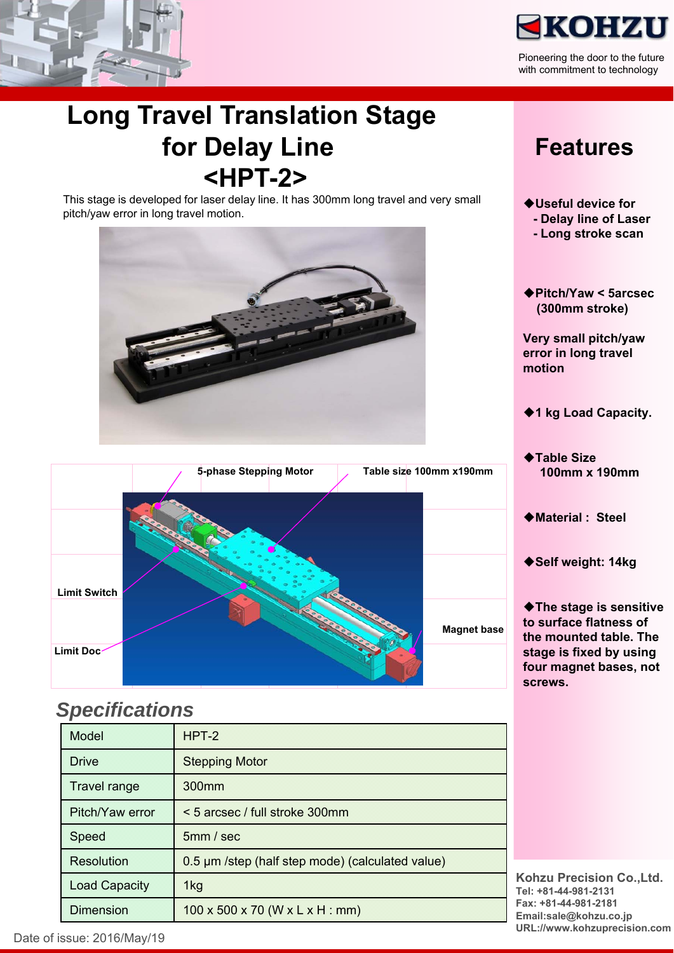



Pioneering the door to the future with commitment to technology

## **Long Travel Translation Stage for Delay Line <HPT-2>**

This stage is developed for laser delay line. It has 300mm long travel and very small pitch/yaw error in long travel motion.





#### *Specifications*

| Model                | $HPT-2$                                          |
|----------------------|--------------------------------------------------|
| Drive                | <b>Stepping Motor</b>                            |
| <b>Travel range</b>  | 300 <sub>mm</sub>                                |
| Pitch/Yaw error      | < 5 arcsec / full stroke 300mm                   |
| Speed                | 5mm / sec                                        |
| Resolution           | 0.5 µm /step (half step mode) (calculated value) |
| <b>Load Capacity</b> | 1kg                                              |
| <b>Dimension</b>     | $100 \times 500 \times 70$ (W x L x H : mm)      |

### **Features**

- **Useful device for - Delay line of Laser**
	- **Long stroke scan**
- **Pitch/Yaw < 5arcsec (300mm stroke)**

**Very small pitch/yaw error in long travel motion** 

- ◆1 kg Load Capacity.
- ◆Table Size **100mm x 190mm**
- **Material : Steel**
- **Self weight: 14kg**

**The stage is sensitive to surface flatness of the mounted table. The stage is fixed by using four magnet bases, not screws.**

**Kohzu Precision Co.,Ltd. Tel: +81-44-981-2131 Fax: +81-44-981-2181 Email:sale@kohzu.co.jp URL://www.kohzuprecision.com**

Date of issue: 2016/May/19